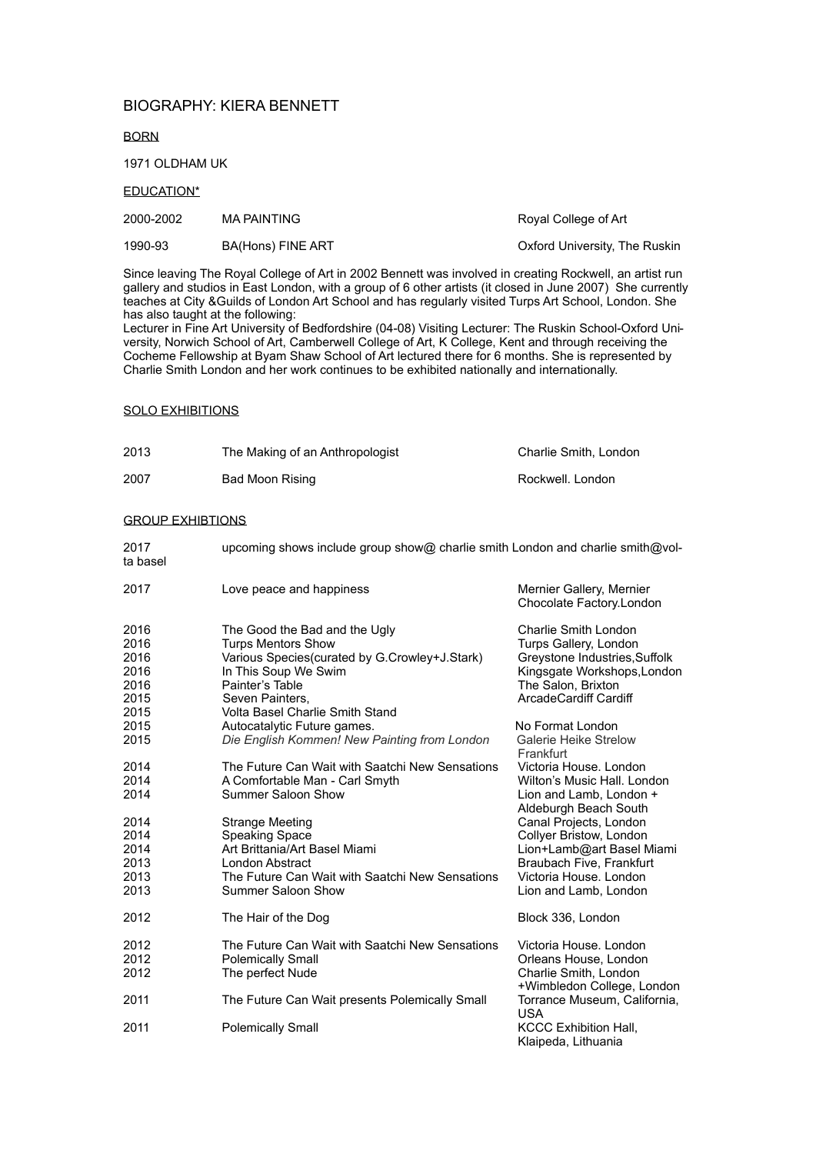# BIOGRAPHY: KIERA BENNETT

BORN

1971 OLDHAM UK

EDUCATION\*

| 2000-2002 | <b>MA PAINTING</b>       | Royal College of Art          |
|-----------|--------------------------|-------------------------------|
| 1990-93   | <b>BA(Hons) FINE ART</b> | Oxford University, The Ruskin |

Since leaving The Royal College of Art in 2002 Bennett was involved in creating Rockwell, an artist run gallery and studios in East London, with a group of 6 other artists (it closed in June 2007) She currently teaches at City &Guilds of London Art School and has regularly visited Turps Art School, London. She has also taught at the following:

Lecturer in Fine Art University of Bedfordshire (04-08) Visiting Lecturer: The Ruskin School-Oxford University, Norwich School of Art, Camberwell College of Art, K College, Kent and through receiving the Cocheme Fellowship at Byam Shaw School of Art lectured there for 6 months. She is represented by Charlie Smith London and her work continues to be exhibited nationally and internationally.

#### SOLO EXHIBITIONS

| 2013 | The Making of an Anthropologist | Charlie Smith, London |
|------|---------------------------------|-----------------------|
| 2007 | Bad Moon Rising                 | Rockwell, London      |

#### GROUP EXHIBTIONS

| 2017<br>ta basel                                     | upcoming shows include group show@ charlie smith London and charlie smith@vol-                                                                                                                               |                                                                                                                                                                     |
|------------------------------------------------------|--------------------------------------------------------------------------------------------------------------------------------------------------------------------------------------------------------------|---------------------------------------------------------------------------------------------------------------------------------------------------------------------|
| 2017                                                 | Love peace and happiness                                                                                                                                                                                     | Mernier Gallery, Mernier<br>Chocolate Factory.London                                                                                                                |
| 2016<br>2016<br>2016<br>2016<br>2016<br>2015<br>2015 | The Good the Bad and the Ugly<br><b>Turps Mentors Show</b><br>Various Species(curated by G.Crowley+J.Stark)<br>In This Soup We Swim<br>Painter's Table<br>Seven Painters,<br>Volta Basel Charlie Smith Stand | <b>Charlie Smith London</b><br>Turps Gallery, London<br>Greystone Industries, Suffolk<br>Kingsgate Workshops, London<br>The Salon, Brixton<br>ArcadeCardiff Cardiff |
| 2015<br>2015                                         | Autocatalytic Future games.<br>Die English Kommen! New Painting from London                                                                                                                                  | No Format London<br>Galerie Heike Strelow<br>Frankfurt                                                                                                              |
| 2014<br>2014<br>2014                                 | The Future Can Wait with Saatchi New Sensations<br>A Comfortable Man - Carl Smyth<br>Summer Saloon Show                                                                                                      | Victoria House, London<br>Wilton's Music Hall, London<br>Lion and Lamb, London +<br>Aldeburgh Beach South                                                           |
| 2014<br>2014<br>2014<br>2013<br>2013<br>2013         | <b>Strange Meeting</b><br><b>Speaking Space</b><br>Art Brittania/Art Basel Miami<br>London Abstract<br>The Future Can Wait with Saatchi New Sensations<br>Summer Saloon Show                                 | Canal Projects, London<br>Collyer Bristow, London<br>Lion+Lamb@art Basel Miami<br>Braubach Five, Frankfurt<br>Victoria House. London<br>Lion and Lamb, London       |
| 2012                                                 | The Hair of the Dog                                                                                                                                                                                          | Block 336, London                                                                                                                                                   |
| 2012<br>2012<br>2012                                 | The Future Can Wait with Saatchi New Sensations<br><b>Polemically Small</b><br>The perfect Nude                                                                                                              | Victoria House, London<br>Orleans House, London<br>Charlie Smith, London<br>+Wimbledon College, London                                                              |
| 2011                                                 | The Future Can Wait presents Polemically Small                                                                                                                                                               | Torrance Museum, California,<br><b>USA</b>                                                                                                                          |
| 2011                                                 | <b>Polemically Small</b>                                                                                                                                                                                     | <b>KCCC Exhibition Hall,</b><br>Klaipeda, Lithuania                                                                                                                 |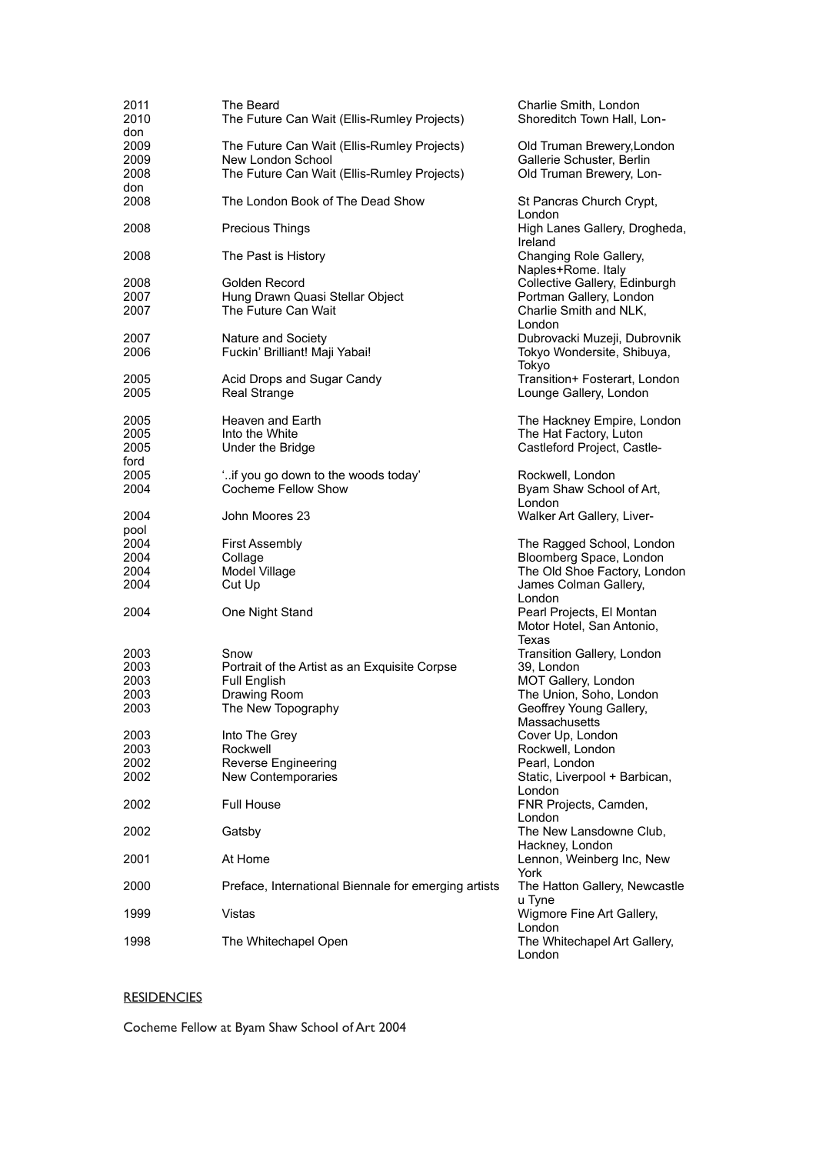| 2011 | The Beard                                            | Charlie Smith, London                  |
|------|------------------------------------------------------|----------------------------------------|
| 2010 | The Future Can Wait (Ellis-Rumley Projects)          | Shoreditch Town Hall, Lon-             |
| don  |                                                      |                                        |
| 2009 | The Future Can Wait (Ellis-Rumley Projects)          | Old Truman Brewery, London             |
|      | New London School                                    |                                        |
| 2009 |                                                      | Gallerie Schuster, Berlin              |
| 2008 | The Future Can Wait (Ellis-Rumley Projects)          | Old Truman Brewery, Lon-               |
| don  |                                                      |                                        |
| 2008 | The London Book of The Dead Show                     | St Pancras Church Crypt,               |
|      |                                                      | London                                 |
| 2008 | <b>Precious Things</b>                               | High Lanes Gallery, Drogheda,          |
|      |                                                      | Ireland                                |
| 2008 | The Past is History                                  | Changing Role Gallery,                 |
|      |                                                      | Naples+Rome. Italy                     |
|      |                                                      |                                        |
| 2008 | Golden Record                                        | Collective Gallery, Edinburgh          |
| 2007 | Hung Drawn Quasi Stellar Object                      | Portman Gallery, London                |
| 2007 | The Future Can Wait                                  | Charlie Smith and NLK,                 |
|      |                                                      | London                                 |
| 2007 | Nature and Society                                   | Dubrovacki Muzeji, Dubrovnik           |
| 2006 | Fuckin' Brilliant! Maji Yabai!                       | Tokyo Wondersite, Shibuya,             |
|      |                                                      | Tokyo                                  |
|      |                                                      |                                        |
| 2005 | Acid Drops and Sugar Candy                           | Transition+ Fosterart, London          |
| 2005 | <b>Real Strange</b>                                  | Lounge Gallery, London                 |
|      |                                                      |                                        |
| 2005 | Heaven and Earth                                     | The Hackney Empire, London             |
| 2005 | Into the White                                       | The Hat Factory, Luton                 |
| 2005 | Under the Bridge                                     | Castleford Project, Castle-            |
|      |                                                      |                                        |
| ford |                                                      |                                        |
| 2005 | "if you go down to the woods today"                  | Rockwell, London                       |
| 2004 | <b>Cocheme Fellow Show</b>                           | Byam Shaw School of Art,               |
|      |                                                      | London                                 |
| 2004 | John Moores 23                                       | Walker Art Gallery, Liver-             |
| pool |                                                      |                                        |
|      |                                                      |                                        |
|      |                                                      |                                        |
| 2004 | <b>First Assembly</b>                                | The Ragged School, London              |
| 2004 | Collage                                              | Bloomberg Space, London                |
| 2004 | Model Village                                        | The Old Shoe Factory, London           |
| 2004 | Cut Up                                               | James Colman Gallery,                  |
|      |                                                      | London                                 |
| 2004 |                                                      |                                        |
|      | One Night Stand                                      | Pearl Projects, El Montan              |
|      |                                                      | Motor Hotel, San Antonio,              |
|      |                                                      | Texas                                  |
| 2003 | Snow                                                 | Transition Gallery, London             |
| 2003 | Portrait of the Artist as an Exquisite Corpse        | 39, London                             |
| 2003 | <b>Full English</b>                                  | MOT Gallery, London                    |
| 2003 | Drawing Room                                         | The Union, Soho, London                |
|      |                                                      |                                        |
| 2003 | The New Topography                                   | Geoffrey Young Gallery,                |
|      |                                                      | Massachusetts                          |
| 2003 | Into The Grey                                        | Cover Up, London                       |
| 2003 | Rockwell                                             | Rockwell, London                       |
| 2002 | <b>Reverse Engineering</b>                           | Pearl, London                          |
| 2002 | New Contemporaries                                   | Static, Liverpool + Barbican,          |
|      |                                                      | London                                 |
| 2002 | <b>Full House</b>                                    |                                        |
|      |                                                      | FNR Projects, Camden,                  |
|      |                                                      | London                                 |
| 2002 | Gatsby                                               | The New Lansdowne Club,                |
|      |                                                      | Hackney, London                        |
| 2001 | At Home                                              | Lennon, Weinberg Inc, New              |
|      |                                                      | York                                   |
| 2000 | Preface, International Biennale for emerging artists | The Hatton Gallery, Newcastle          |
|      |                                                      | u Tyne                                 |
|      |                                                      |                                        |
| 1999 | <b>Vistas</b>                                        | Wigmore Fine Art Gallery,              |
|      |                                                      | London                                 |
| 1998 | The Whitechapel Open                                 | The Whitechapel Art Gallery,<br>London |

# **RESIDENCIES**

Cocheme Fellow at Byam Shaw School of Art 2004